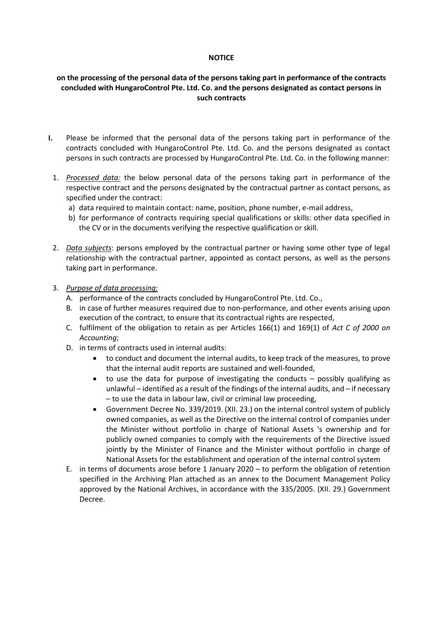#### **NOTICE**

# **on the processing of the personal data of the persons taking part in performance of the contracts concluded with HungaroControl Pte. Ltd. Co. and the persons designated as contact persons in such contracts**

- **I.** Please be informed that the personal data of the persons taking part in performance of the contracts concluded with HungaroControl Pte. Ltd. Co. and the persons designated as contact persons in such contracts are processed by HungaroControl Pte. Ltd. Co. in the following manner:
- 1. *Processed data:* the below personal data of the persons taking part in performance of the respective contract and the persons designated by the contractual partner as contact persons, as specified under the contract:
	- a) data required to maintain contact: name, position, phone number, e-mail address,
	- b) for performance of contracts requiring special qualifications or skills: other data specified in the CV or in the documents verifying the respective qualification or skill.
- 2. *Data subjects*: persons employed by the contractual partner or having some other type of legal relationship with the contractual partner, appointed as contact persons, as well as the persons taking part in performance.
- 3. *Purpose of data processing:* 
	- A. performance of the contracts concluded by HungaroControl Pte. Ltd. Co.,
	- B. in case of further measures required due to non-performance, and other events arising upon execution of the contract, to ensure that its contractual rights are respected,
	- C. fulfilment of the obligation to retain as per Articles 166(1) and 169(1) of *Act C of 2000 on Accounting*;
	- D. in terms of contracts used in internal audits:
		- to conduct and document the internal audits, to keep track of the measures, to prove that the internal audit reports are sustained and well-founded,
		- to use the data for purpose of investigating the conducts possibly qualifying as unlawful – identified as a result of the findings of the internal audits, and – if necessary – to use the data in labour law, civil or criminal law proceeding,
		- Government Decree No. 339/2019. (XII. 23.) on the internal control system of publicly owned companies, as well as the Directive on the internal control of companies under the Minister without portfolio in charge of National Assets 's ownership and for publicly owned companies to comply with the requirements of the Directive issued jointly by the Minister of Finance and the Minister without portfolio in charge of National Assets for the establishment and operation of the internal control system
	- E. in terms of documents arose before 1 January 2020 to perform the obligation of retention specified in the Archiving Plan attached as an annex to the Document Management Policy approved by the National Archives, in accordance with the 335/2005. (XII. 29.) Government Decree.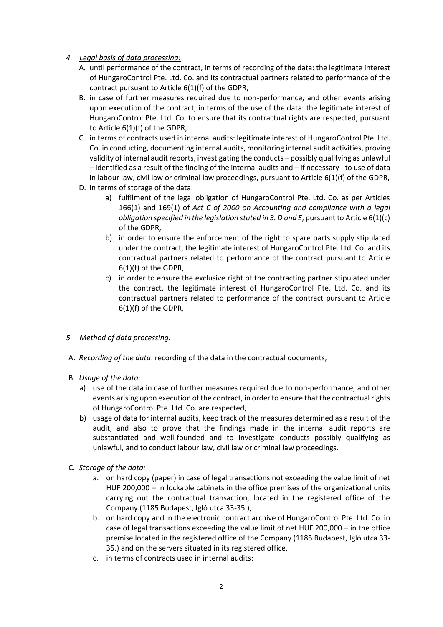- *4. Legal basis of data processing:*
	- A. until performance of the contract, in terms of recording of the data: the legitimate interest of HungaroControl Pte. Ltd. Co. and its contractual partners related to performance of the contract pursuant to Article 6(1)(f) of the GDPR,
	- B. in case of further measures required due to non-performance, and other events arising upon execution of the contract, in terms of the use of the data: the legitimate interest of HungaroControl Pte. Ltd. Co. to ensure that its contractual rights are respected, pursuant to Article 6(1)(f) of the GDPR,
	- C. in terms of contracts used in internal audits: legitimate interest of HungaroControl Pte. Ltd. Co. in conducting, documenting internal audits, monitoring internal audit activities, proving validity of internal audit reports, investigating the conducts – possibly qualifying as unlawful – identified as a result of the finding of the internal audits and – if necessary - to use of data in labour law, civil law or criminal law proceedings, pursuant to Article  $6(1)(f)$  of the GDPR,
	- D. in terms of storage of the data:
		- a) fulfilment of the legal obligation of HungaroControl Pte. Ltd. Co. as per Articles 166(1) and 169(1) of *Act C of 2000 on Accounting and compliance with a legal obligation specified in the legislation stated in 3. D and E*, pursuant to Article 6(1)(c) of the GDPR,
		- b) in order to ensure the enforcement of the right to spare parts supply stipulated under the contract, the legitimate interest of HungaroControl Pte. Ltd. Co. and its contractual partners related to performance of the contract pursuant to Article 6(1)(f) of the GDPR,
		- c) in order to ensure the exclusive right of the contracting partner stipulated under the contract, the legitimate interest of HungaroControl Pte. Ltd. Co. and its contractual partners related to performance of the contract pursuant to Article 6(1)(f) of the GDPR,

# *5. Method of data processing:*

- A. *Recording of the data*: recording of the data in the contractual documents,
- B. *Usage of the data*:
	- a) use of the data in case of further measures required due to non-performance, and other events arising upon execution of the contract, in order to ensure that the contractual rights of HungaroControl Pte. Ltd. Co. are respected,
	- b) usage of data for internal audits, keep track of the measures determined as a result of the audit, and also to prove that the findings made in the internal audit reports are substantiated and well-founded and to investigate conducts possibly qualifying as unlawful, and to conduct labour law, civil law or criminal law proceedings.
- C. *Storage of the data:* 
	- a. on hard copy (paper) in case of legal transactions not exceeding the value limit of net HUF 200,000 – in lockable cabinets in the office premises of the organizational units carrying out the contractual transaction, located in the registered office of the Company (1185 Budapest, Igló utca 33-35.),
	- b. on hard copy and in the electronic contract archive of HungaroControl Pte. Ltd. Co. in case of legal transactions exceeding the value limit of net HUF 200,000 – in the office premise located in the registered office of the Company (1185 Budapest, Igló utca 33- 35.) and on the servers situated in its registered office,
	- c. in terms of contracts used in internal audits: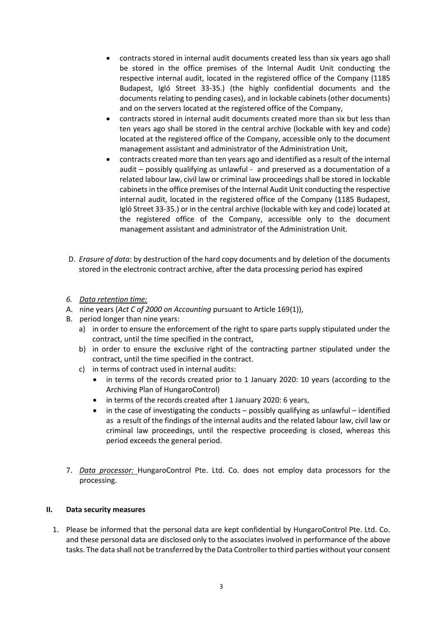- contracts stored in internal audit documents created less than six years ago shall be stored in the office premises of the Internal Audit Unit conducting the respective internal audit, located in the registered office of the Company (1185 Budapest, Igló Street 33-35.) (the highly confidential documents and the documents relating to pending cases), and in lockable cabinets (other documents) and on the servers located at the registered office of the Company,
- contracts stored in internal audit documents created more than six but less than ten years ago shall be stored in the central archive (lockable with key and code) located at the registered office of the Company, accessible only to the document management assistant and administrator of the Administration Unit,
- contracts created more than ten years ago and identified as a result of the internal audit – possibly qualifying as unlawful - and preserved as a documentation of a related labour law, civil law or criminal law proceedings shall be stored in lockable cabinets in the office premises of the Internal Audit Unit conducting the respective internal audit, located in the registered office of the Company (1185 Budapest, Igló Street 33-35.) or in the central archive (lockable with key and code) located at the registered office of the Company, accessible only to the document management assistant and administrator of the Administration Unit.
- D. *Erasure of data*: by destruction of the hard copy documents and by deletion of the documents stored in the electronic contract archive, after the data processing period has expired
- *6. Data retention time:*
- A. nine years (*Act C of 2000 on Accounting* pursuant to Article 169(1)),
- B. period longer than nine years:
	- a) in order to ensure the enforcement of the right to spare parts supply stipulated under the contract, until the time specified in the contract,
	- b) in order to ensure the exclusive right of the contracting partner stipulated under the contract, until the time specified in the contract.
	- c) in terms of contract used in internal audits:
		- in terms of the records created prior to 1 January 2020: 10 years (according to the Archiving Plan of HungaroControl)
		- in terms of the records created after 1 January 2020: 6 years,
		- in the case of investigating the conducts  $-$  possibly qualifying as unlawful  $-$  identified as a result of the findings of the internal audits and the related labour law, civil law or criminal law proceedings, until the respective proceeding is closed, whereas this period exceeds the general period.
- 7. *Data processor:* HungaroControl Pte. Ltd. Co. does not employ data processors for the processing.

# **II. Data security measures**

1. Please be informed that the personal data are kept confidential by HungaroControl Pte. Ltd. Co. and these personal data are disclosed only to the associates involved in performance of the above tasks. The data shall not be transferred by the Data Controller to third parties without your consent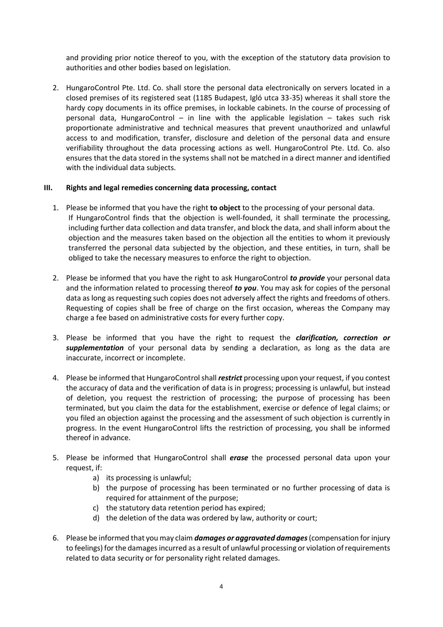and providing prior notice thereof to you, with the exception of the statutory data provision to authorities and other bodies based on legislation.

2. HungaroControl Pte. Ltd. Co. shall store the personal data electronically on servers located in a closed premises of its registered seat (1185 Budapest, Igló utca 33-35) whereas it shall store the hardy copy documents in its office premises, in lockable cabinets. In the course of processing of personal data, HungaroControl – in line with the applicable legislation – takes such risk proportionate administrative and technical measures that prevent unauthorized and unlawful access to and modification, transfer, disclosure and deletion of the personal data and ensure verifiability throughout the data processing actions as well. HungaroControl Pte. Ltd. Co. also ensures that the data stored in the systems shall not be matched in a direct manner and identified with the individual data subjects.

#### **III. Rights and legal remedies concerning data processing, contact**

- 1. Please be informed that you have the right **to object** to the processing of your personal data. If HungaroControl finds that the objection is well-founded, it shall terminate the processing, including further data collection and data transfer, and block the data, and shall inform about the objection and the measures taken based on the objection all the entities to whom it previously transferred the personal data subjected by the objection, and these entities, in turn, shall be obliged to take the necessary measures to enforce the right to objection.
- 2. Please be informed that you have the right to ask HungaroControl *to provide* your personal data and the information related to processing thereof *to you*. You may ask for copies of the personal data as long as requesting such copies does not adversely affect the rights and freedoms of others. Requesting of copies shall be free of charge on the first occasion, whereas the Company may charge a fee based on administrative costs for every further copy.
- 3. Please be informed that you have the right to request the *clarification, correction or supplementation* of your personal data by sending a declaration, as long as the data are inaccurate, incorrect or incomplete.
- 4. Please be informed that HungaroControl shall *restrict* processing upon your request, if you contest the accuracy of data and the verification of data is in progress; processing is unlawful, but instead of deletion, you request the restriction of processing; the purpose of processing has been terminated, but you claim the data for the establishment, exercise or defence of legal claims; or you filed an objection against the processing and the assessment of such objection is currently in progress. In the event HungaroControl lifts the restriction of processing, you shall be informed thereof in advance.
- 5. Please be informed that HungaroControl shall *erase* the processed personal data upon your request, if:
	- a) its processing is unlawful;
	- b) the purpose of processing has been terminated or no further processing of data is required for attainment of the purpose;
	- c) the statutory data retention period has expired;
	- d) the deletion of the data was ordered by law, authority or court;
- 6. Please be informed that you may claim *damages or aggravated damages* (compensation for injury to feelings) for the damages incurred as a result of unlawful processing or violation of requirements related to data security or for personality right related damages.